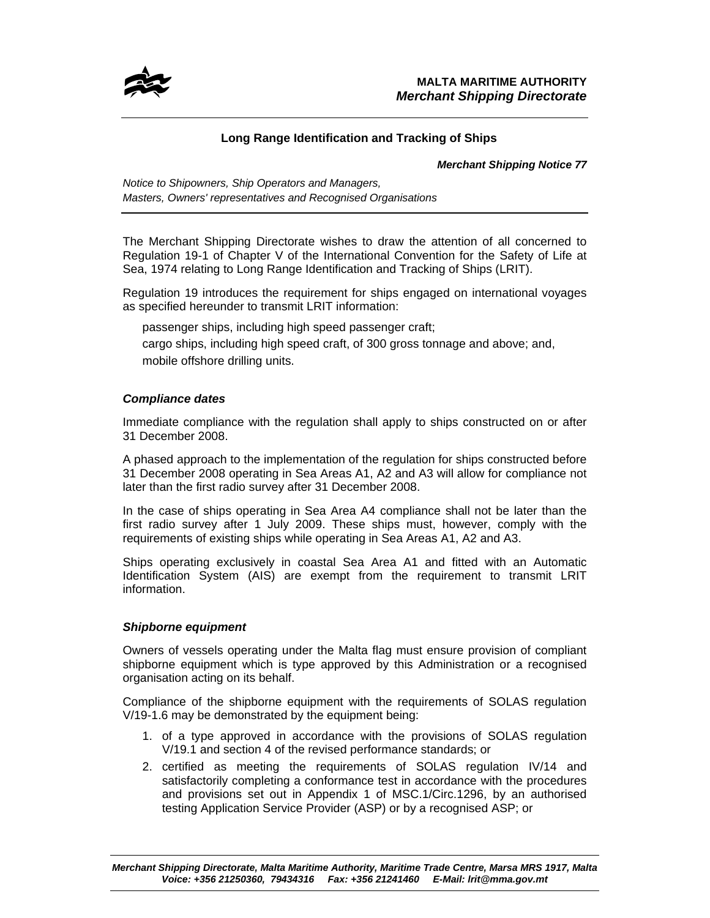

# **Long Range Identification and Tracking of Ships**

### *Merchant Shipping Notice 77*

*Notice to Shipowners, Ship Operators and Managers, Masters, Owners' representatives and Recognised Organisations* 

The Merchant Shipping Directorate wishes to draw the attention of all concerned to Regulation 19-1 of Chapter V of the International Convention for the Safety of Life at Sea, 1974 relating to Long Range Identification and Tracking of Ships (LRIT).

Regulation 19 introduces the requirement for ships engaged on international voyages as specified hereunder to transmit LRIT information:

passenger ships, including high speed passenger craft;

cargo ships, including high speed craft, of 300 gross tonnage and above; and, mobile offshore drilling units.

# *Compliance dates*

Immediate compliance with the regulation shall apply to ships constructed on or after 31 December 2008.

A phased approach to the implementation of the regulation for ships constructed before 31 December 2008 operating in Sea Areas A1, A2 and A3 will allow for compliance not later than the first radio survey after 31 December 2008.

In the case of ships operating in Sea Area A4 compliance shall not be later than the first radio survey after 1 July 2009. These ships must, however, comply with the requirements of existing ships while operating in Sea Areas A1, A2 and A3.

Ships operating exclusively in coastal Sea Area A1 and fitted with an Automatic Identification System (AIS) are exempt from the requirement to transmit LRIT information.

## *Shipborne equipment*

Owners of vessels operating under the Malta flag must ensure provision of compliant shipborne equipment which is type approved by this Administration or a recognised organisation acting on its behalf.

Compliance of the shipborne equipment with the requirements of SOLAS regulation V/19-1.6 may be demonstrated by the equipment being:

- 1. of a type approved in accordance with the provisions of SOLAS regulation V/19.1 and section 4 of the revised performance standards; or
- 2. certified as meeting the requirements of SOLAS regulation IV/14 and satisfactorily completing a conformance test in accordance with the procedures and provisions set out in Appendix 1 of MSC.1/Circ.1296, by an authorised testing Application Service Provider (ASP) or by a recognised ASP; or

*Merchant Shipping Directorate, Malta Maritime Authority, Maritime Trade Centre, Marsa MRS 1917, Malta Voice: +356 21250360, 79434316 Fax: +356 21241460 E-Mail: lrit@mma.gov.mt*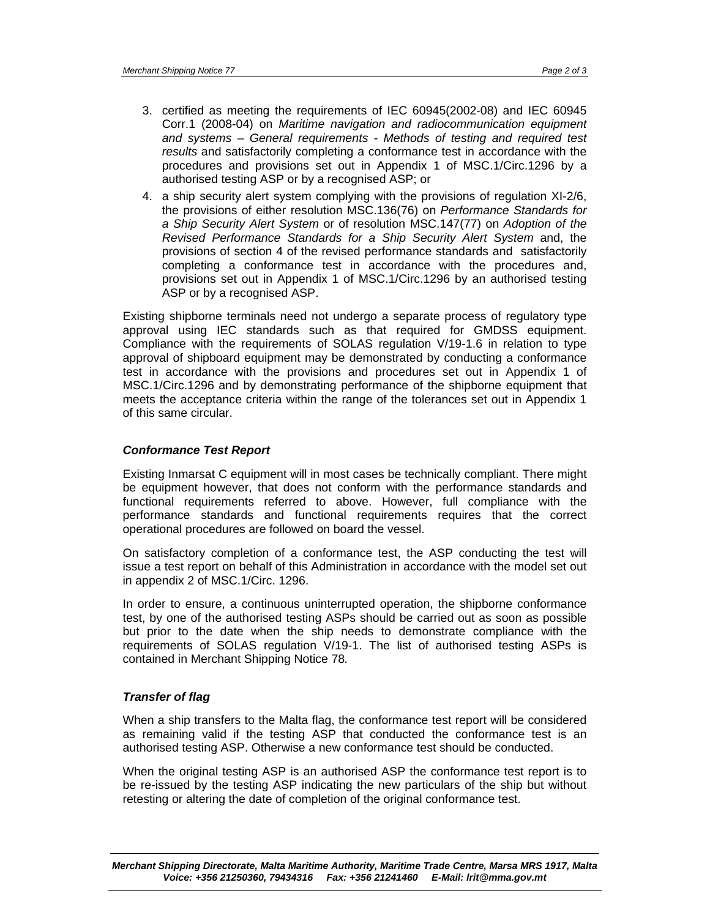- 3. certified as meeting the requirements of IEC 60945(2002-08) and IEC 60945 Corr.1 (2008-04) on *Maritime navigation and radiocommunication equipment and systems – General requirements - Methods of testing and required test results* and satisfactorily completing a conformance test in accordance with the procedures and provisions set out in Appendix 1 of MSC.1/Circ.1296 by a authorised testing ASP or by a recognised ASP; or
- 4. a ship security alert system complying with the provisions of regulation XI-2/6, the provisions of either resolution MSC.136(76) on *Performance Standards for a Ship Security Alert System* or of resolution MSC.147(77) on *Adoption of the Revised Performance Standards for a Ship Security Alert System* and, the provisions of section 4 of the revised performance standards and satisfactorily completing a conformance test in accordance with the procedures and, provisions set out in Appendix 1 of MSC.1/Circ.1296 by an authorised testing ASP or by a recognised ASP.

Existing shipborne terminals need not undergo a separate process of regulatory type approval using IEC standards such as that required for GMDSS equipment. Compliance with the requirements of SOLAS regulation V/19-1.6 in relation to type approval of shipboard equipment may be demonstrated by conducting a conformance test in accordance with the provisions and procedures set out in Appendix 1 of MSC.1/Circ.1296 and by demonstrating performance of the shipborne equipment that meets the acceptance criteria within the range of the tolerances set out in Appendix 1 of this same circular.

#### *Conformance Test Report*

Existing Inmarsat C equipment will in most cases be technically compliant. There might be equipment however, that does not conform with the performance standards and functional requirements referred to above. However, full compliance with the performance standards and functional requirements requires that the correct operational procedures are followed on board the vessel.

On satisfactory completion of a conformance test, the ASP conducting the test will issue a test report on behalf of this Administration in accordance with the model set out in appendix 2 of MSC.1/Circ. 1296.

In order to ensure, a continuous uninterrupted operation, the shipborne conformance test, by one of the authorised testing ASPs should be carried out as soon as possible but prior to the date when the ship needs to demonstrate compliance with the requirements of SOLAS regulation V/19-1. The list of authorised testing ASPs is contained in Merchant Shipping Notice 78*.* 

#### *Transfer of flag*

When a ship transfers to the Malta flag, the conformance test report will be considered as remaining valid if the testing ASP that conducted the conformance test is an authorised testing ASP. Otherwise a new conformance test should be conducted.

When the original testing ASP is an authorised ASP the conformance test report is to be re-issued by the testing ASP indicating the new particulars of the ship but without retesting or altering the date of completion of the original conformance test.

*Merchant Shipping Directorate, Malta Maritime Authority, Maritime Trade Centre, Marsa MRS 1917, Malta Voice: +356 21250360, 79434316 Fax: +356 21241460 E-Mail: lrit@mma.gov.mt*